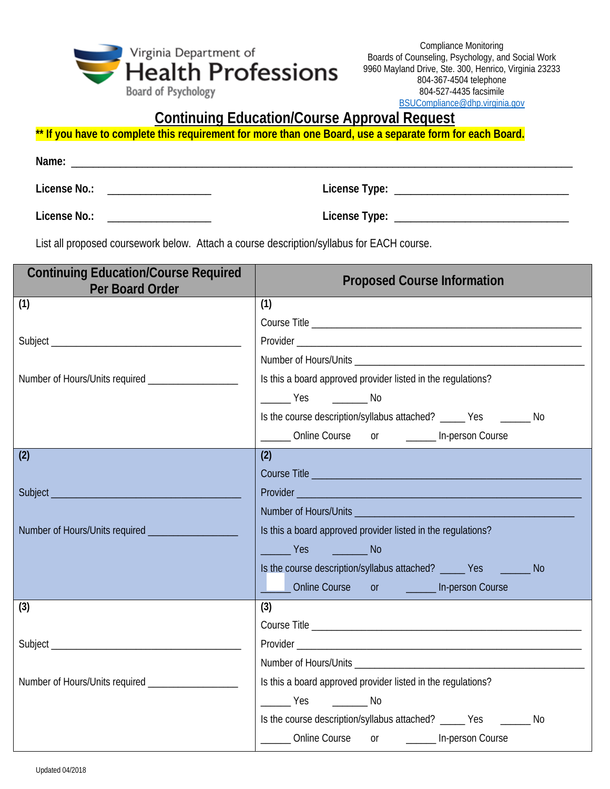

Compliance Monitoring Boards of Counseling, Psychology, and Social Work 9960 Mayland Drive, Ste. 300, Henrico, Virginia 23233 804-367-4504 telephone 804-527-4435 facsimile [BSUCompliance@dhp.virginia.gov](mailto:BSUCompliance@dhp.virginia.gov)

## **Continuing Education/Course Approval Request**

\*\* If you have to complete this requirement for more than one Board, use a separate form for each Board.

**Name:** \_\_\_\_\_\_\_\_\_\_\_\_\_\_\_\_\_\_\_\_\_\_\_\_\_\_\_\_\_\_\_\_\_\_\_\_\_\_\_\_\_\_\_\_\_\_\_\_\_\_\_\_\_\_\_\_\_\_\_\_\_\_\_\_\_\_\_\_\_\_\_\_\_\_\_\_\_\_\_\_\_\_\_\_\_\_\_\_\_\_\_\_ **License No.:** \_\_\_\_\_\_\_\_\_\_\_\_\_\_\_\_\_\_\_ **License Type:** \_\_\_\_\_\_\_\_\_\_\_\_\_\_\_\_\_\_\_\_\_\_\_\_\_\_\_\_\_\_\_\_

**License No.:** \_\_\_\_\_\_\_\_\_\_\_\_\_\_\_\_\_\_\_ **License Type:** \_\_\_\_\_\_\_\_\_\_\_\_\_\_\_\_\_\_\_\_\_\_\_\_\_\_\_\_\_\_\_\_

List all proposed coursework below. Attach a course description/syllabus for EACH course.

| <b>Continuing Education/Course Required</b><br>Per Board Order | <b>Proposed Course Information</b>                                                                                  |
|----------------------------------------------------------------|---------------------------------------------------------------------------------------------------------------------|
| (1)                                                            | (1)                                                                                                                 |
|                                                                |                                                                                                                     |
|                                                                |                                                                                                                     |
|                                                                |                                                                                                                     |
|                                                                | Is this a board approved provider listed in the regulations?                                                        |
|                                                                | $\frac{1}{1}$ Yes $\frac{1}{1}$ No                                                                                  |
|                                                                | Is the course description/syllabus attached? ______ Yes ________ No                                                 |
|                                                                | _______ Online Course or _______ In-person Course                                                                   |
| (2)                                                            | (2)                                                                                                                 |
|                                                                |                                                                                                                     |
|                                                                |                                                                                                                     |
|                                                                | <b>Number of Hours/Units and Services and Services</b>                                                              |
|                                                                | Is this a board approved provider listed in the regulations?                                                        |
|                                                                | <b>Example Structure Pressure Structure Pressure Pressure Pressure Pressure Pressure Pressure Pressure Pressure</b> |
|                                                                | Is the course description/syllabus attached? ______ Yes ________ No                                                 |
|                                                                | Conline Course or Contract or Course                                                                                |
| (3)                                                            | (3)                                                                                                                 |
|                                                                |                                                                                                                     |
|                                                                |                                                                                                                     |
|                                                                |                                                                                                                     |
|                                                                | Is this a board approved provider listed in the regulations?                                                        |
|                                                                | No Vest No                                                                                                          |
|                                                                | Is the course description/syllabus attached? ______ Yes __________ No                                               |
|                                                                | _______ Online Course or ________ In-person Course                                                                  |